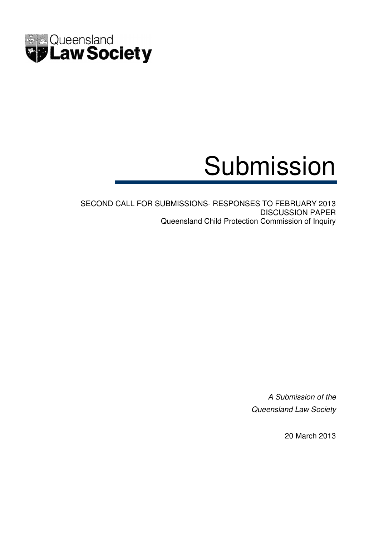

# Submission

SECOND CALL FOR SUBMISSIONS- RESPONSES TO FEBRUARY 2013 DISCUSSION PAPER Queensland Child Protection Commission of Inquiry

> A Submission of the Queensland Law Society

> > 20 March 2013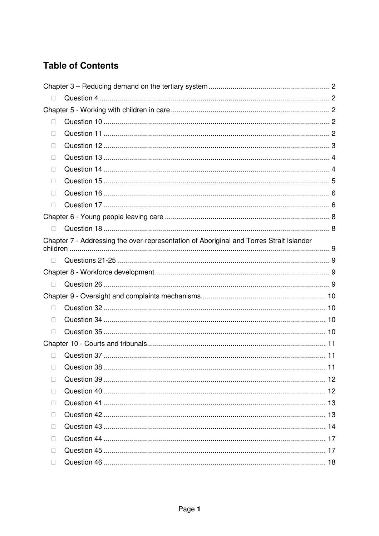# **Table of Contents**

| Chapter 7 - Addressing the over-representation of Aboriginal and Torres Strait Islander |  |
|-----------------------------------------------------------------------------------------|--|
|                                                                                         |  |
|                                                                                         |  |
|                                                                                         |  |
|                                                                                         |  |
|                                                                                         |  |
|                                                                                         |  |
|                                                                                         |  |
|                                                                                         |  |
|                                                                                         |  |
|                                                                                         |  |
|                                                                                         |  |
|                                                                                         |  |
|                                                                                         |  |
|                                                                                         |  |
|                                                                                         |  |
|                                                                                         |  |
|                                                                                         |  |
|                                                                                         |  |
|                                                                                         |  |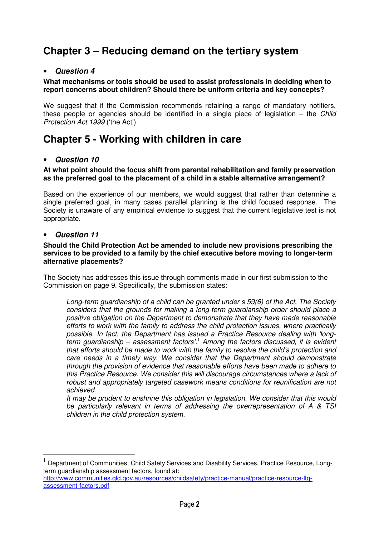# **Chapter 3 – Reducing demand on the tertiary system**

# • **Question 4**

#### **What mechanisms or tools should be used to assist professionals in deciding when to report concerns about children? Should there be uniform criteria and key concepts?**

We suggest that if the Commission recommends retaining a range of mandatory notifiers, these people or agencies should be identified in a single piece of legislation  $-$  the *Child* Protection Act 1999 ('the Act').

# **Chapter 5 - Working with children in care**

# • **Question 10**

#### **At what point should the focus shift from parental rehabilitation and family preservation as the preferred goal to the placement of a child in a stable alternative arrangement?**

Based on the experience of our members, we would suggest that rather than determine a single preferred goal, in many cases parallel planning is the child focused response. The Society is unaware of any empirical evidence to suggest that the current legislative test is not appropriate.

## • **Question 11**

 $\overline{a}$ 

#### **Should the Child Protection Act be amended to include new provisions prescribing the services to be provided to a family by the chief executive before moving to longer-term alternative placements?**

The Society has addresses this issue through comments made in our first submission to the Commission on page 9. Specifically, the submission states:

Long-term guardianship of a child can be granted under s 59(6) of the Act. The Society considers that the grounds for making a long-term guardianship order should place a positive obligation on the Department to demonstrate that they have made reasonable efforts to work with the family to address the child protection issues, where practically possible. In fact, the Department has issued a Practice Resource dealing with 'longterm guardianship – assessment factors'.<sup>1</sup> Among the factors discussed, it is evident that efforts should be made to work with the family to resolve the child's protection and care needs in a timely way. We consider that the Department should demonstrate through the provision of evidence that reasonable efforts have been made to adhere to this Practice Resource. We consider this will discourage circumstances where a lack of robust and appropriately targeted casework means conditions for reunification are not achieved.

It may be prudent to enshrine this obligation in legislation. We consider that this would be particularly relevant in terms of addressing the overrepresentation of A & TSI children in the child protection system.

<sup>1</sup> Department of Communities, Child Safety Services and Disability Services, Practice Resource, Longterm guardianship assessment factors, found at:

http://www.communities.qld.gov.au/resources/childsafety/practice-manual/practice-resource-ltgassessment-factors.pdf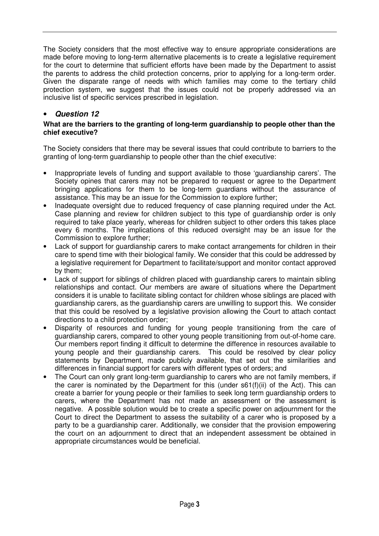The Society considers that the most effective way to ensure appropriate considerations are made before moving to long-term alternative placements is to create a legislative requirement for the court to determine that sufficient efforts have been made by the Department to assist the parents to address the child protection concerns, prior to applying for a long-term order. Given the disparate range of needs with which families may come to the tertiary child protection system, we suggest that the issues could not be properly addressed via an inclusive list of specific services prescribed in legislation.

# • **Question 12**

#### **What are the barriers to the granting of long-term guardianship to people other than the chief executive?**

The Society considers that there may be several issues that could contribute to barriers to the granting of long-term guardianship to people other than the chief executive:

- Inappropriate levels of funding and support available to those 'guardianship carers'. The Society opines that carers may not be prepared to request or agree to the Department bringing applications for them to be long-term guardians without the assurance of assistance. This may be an issue for the Commission to explore further;
- Inadequate oversight due to reduced frequency of case planning required under the Act. Case planning and review for children subject to this type of guardianship order is only required to take place yearly, whereas for children subject to other orders this takes place every 6 months. The implications of this reduced oversight may be an issue for the Commission to explore further;
- Lack of support for guardianship carers to make contact arrangements for children in their care to spend time with their biological family. We consider that this could be addressed by a legislative requirement for Department to facilitate/support and monitor contact approved by them;
- Lack of support for siblings of children placed with guardianship carers to maintain sibling relationships and contact. Our members are aware of situations where the Department considers it is unable to facilitate sibling contact for children whose siblings are placed with guardianship carers, as the guardianship carers are unwilling to support this. We consider that this could be resolved by a legislative provision allowing the Court to attach contact directions to a child protection order;
- Disparity of resources and funding for young people transitioning from the care of guardianship carers, compared to other young people transitioning from out-of-home care. Our members report finding it difficult to determine the difference in resources available to young people and their guardianship carers. This could be resolved by clear policy statements by Department, made publicly available, that set out the similarities and differences in financial support for carers with different types of orders; and
- The Court can only grant long-term guardianship to carers who are not family members, if the carer is nominated by the Department for this (under s61(f)(ii) of the Act). This can create a barrier for young people or their families to seek long term guardianship orders to carers, where the Department has not made an assessment or the assessment is negative. A possible solution would be to create a specific power on adjournment for the Court to direct the Department to assess the suitability of a carer who is proposed by a party to be a guardianship carer. Additionally, we consider that the provision empowering the court on an adjournment to direct that an independent assessment be obtained in appropriate circumstances would be beneficial.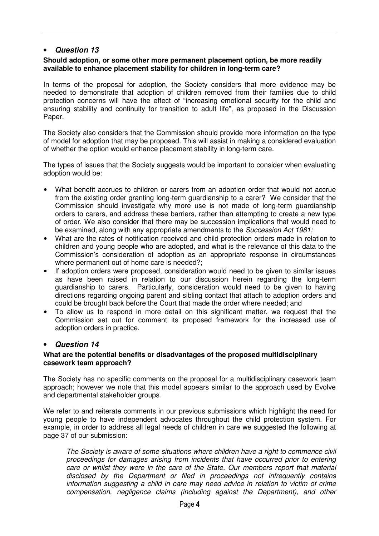# • **Question 13**

#### **Should adoption, or some other more permanent placement option, be more readily available to enhance placement stability for children in long-term care?**

In terms of the proposal for adoption, the Society considers that more evidence may be needed to demonstrate that adoption of children removed from their families due to child protection concerns will have the effect of "increasing emotional security for the child and ensuring stability and continuity for transition to adult life", as proposed in the Discussion Paper.

The Society also considers that the Commission should provide more information on the type of model for adoption that may be proposed. This will assist in making a considered evaluation of whether the option would enhance placement stability in long-term care.

The types of issues that the Society suggests would be important to consider when evaluating adoption would be:

- What benefit accrues to children or carers from an adoption order that would not accrue from the existing order granting long-term guardianship to a carer? We consider that the Commission should investigate why more use is not made of long-term guardianship orders to carers, and address these barriers, rather than attempting to create a new type of order. We also consider that there may be succession implications that would need to be examined, along with any appropriate amendments to the Succession Act 1981;
- What are the rates of notification received and child protection orders made in relation to children and young people who are adopted, and what is the relevance of this data to the Commission's consideration of adoption as an appropriate response in circumstances where permanent out of home care is needed?;
- If adoption orders were proposed, consideration would need to be given to similar issues as have been raised in relation to our discussion herein regarding the long-term guardianship to carers. Particularly, consideration would need to be given to having directions regarding ongoing parent and sibling contact that attach to adoption orders and could be brought back before the Court that made the order where needed; and
- To allow us to respond in more detail on this significant matter, we request that the Commission set out for comment its proposed framework for the increased use of adoption orders in practice.

# • **Question 14**

#### **What are the potential benefits or disadvantages of the proposed multidisciplinary casework team approach?**

The Society has no specific comments on the proposal for a multidisciplinary casework team approach; however we note that this model appears similar to the approach used by Evolve and departmental stakeholder groups.

We refer to and reiterate comments in our previous submissions which highlight the need for young people to have independent advocates throughout the child protection system. For example, in order to address all legal needs of children in care we suggested the following at page 37 of our submission:

The Society is aware of some situations where children have a right to commence civil proceedings for damages arising from incidents that have occurred prior to entering care or whilst they were in the care of the State. Our members report that material disclosed by the Department or filed in proceedings not infrequently contains information suggesting a child in care may need advice in relation to victim of crime compensation, negligence claims (including against the Department), and other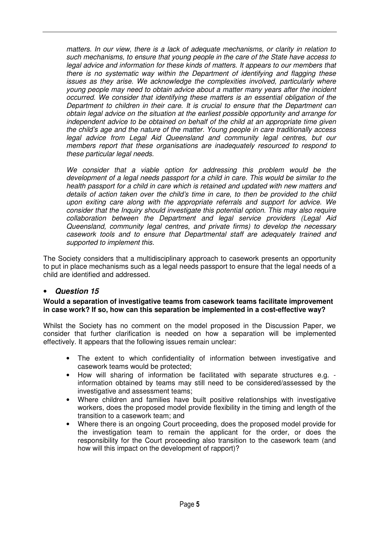matters. In our view, there is a lack of adequate mechanisms, or clarity in relation to such mechanisms, to ensure that young people in the care of the State have access to legal advice and information for these kinds of matters. It appears to our members that there is no systematic way within the Department of identifying and flagging these issues as they arise. We acknowledge the complexities involved, particularly where young people may need to obtain advice about a matter many years after the incident occurred. We consider that identifying these matters is an essential obligation of the Department to children in their care. It is crucial to ensure that the Department can obtain legal advice on the situation at the earliest possible opportunity and arrange for independent advice to be obtained on behalf of the child at an appropriate time given the child's age and the nature of the matter. Young people in care traditionally access legal advice from Legal Aid Queensland and community legal centres, but our members report that these organisations are inadequately resourced to respond to these particular legal needs.

We consider that a viable option for addressing this problem would be the development of a legal needs passport for a child in care. This would be similar to the health passport for a child in care which is retained and updated with new matters and details of action taken over the child's time in care, to then be provided to the child upon exiting care along with the appropriate referrals and support for advice. We consider that the Inquiry should investigate this potential option. This may also require collaboration between the Department and legal service providers (Legal Aid Queensland, community legal centres, and private firms) to develop the necessary casework tools and to ensure that Departmental staff are adequately trained and supported to implement this.

The Society considers that a multidisciplinary approach to casework presents an opportunity to put in place mechanisms such as a legal needs passport to ensure that the legal needs of a child are identified and addressed.

# • **Question 15**

#### **Would a separation of investigative teams from casework teams facilitate improvement in case work? If so, how can this separation be implemented in a cost-effective way?**

Whilst the Society has no comment on the model proposed in the Discussion Paper, we consider that further clarification is needed on how a separation will be implemented effectively. It appears that the following issues remain unclear:

- The extent to which confidentiality of information between investigative and casework teams would be protected;
- How will sharing of information be facilitated with separate structures e.g. information obtained by teams may still need to be considered/assessed by the investigative and assessment teams;
- Where children and families have built positive relationships with investigative workers, does the proposed model provide flexibility in the timing and length of the transition to a casework team; and
- Where there is an ongoing Court proceeding, does the proposed model provide for the investigation team to remain the applicant for the order, or does the responsibility for the Court proceeding also transition to the casework team (and how will this impact on the development of rapport)?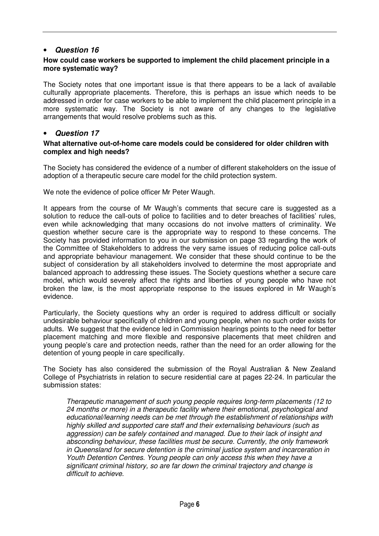# • **Question 16**

#### **How could case workers be supported to implement the child placement principle in a more systematic way?**

The Society notes that one important issue is that there appears to be a lack of available culturally appropriate placements. Therefore, this is perhaps an issue which needs to be addressed in order for case workers to be able to implement the child placement principle in a more systematic way. The Society is not aware of any changes to the legislative arrangements that would resolve problems such as this.

# • **Question 17**

#### **What alternative out-of-home care models could be considered for older children with complex and high needs?**

The Society has considered the evidence of a number of different stakeholders on the issue of adoption of a therapeutic secure care model for the child protection system.

We note the evidence of police officer Mr Peter Waugh.

It appears from the course of Mr Waugh's comments that secure care is suggested as a solution to reduce the call-outs of police to facilities and to deter breaches of facilities' rules, even while acknowledging that many occasions do not involve matters of criminality. We question whether secure care is the appropriate way to respond to these concerns. The Society has provided information to you in our submission on page 33 regarding the work of the Committee of Stakeholders to address the very same issues of reducing police call-outs and appropriate behaviour management. We consider that these should continue to be the subject of consideration by all stakeholders involved to determine the most appropriate and balanced approach to addressing these issues. The Society questions whether a secure care model, which would severely affect the rights and liberties of young people who have not broken the law, is the most appropriate response to the issues explored in Mr Waugh's evidence.

Particularly, the Society questions why an order is required to address difficult or socially undesirable behaviour specifically of children and young people, when no such order exists for adults. We suggest that the evidence led in Commission hearings points to the need for better placement matching and more flexible and responsive placements that meet children and young people's care and protection needs, rather than the need for an order allowing for the detention of young people in care specifically.

The Society has also considered the submission of the Royal Australian & New Zealand College of Psychiatrists in relation to secure residential care at pages 22-24. In particular the submission states:

Therapeutic management of such young people requires long-term placements (12 to 24 months or more) in a therapeutic facility where their emotional, psychological and educational/learning needs can be met through the establishment of relationships with highly skilled and supported care staff and their externalising behaviours (such as aggression) can be safely contained and managed. Due to their lack of insight and absconding behaviour, these facilities must be secure. Currently, the only framework in Queensland for secure detention is the criminal justice system and incarceration in Youth Detention Centres. Young people can only access this when they have a significant criminal history, so are far down the criminal trajectory and change is difficult to achieve.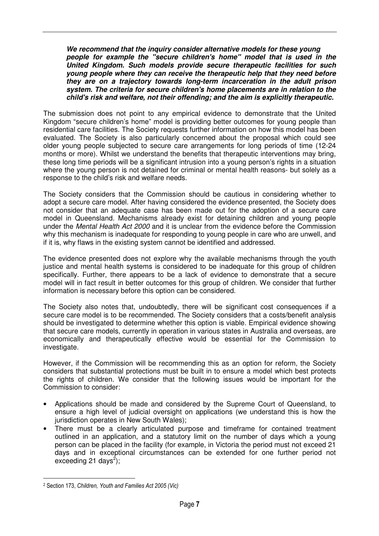**We recommend that the inquiry consider alternative models for these young people for example the "secure children's home" model that is used in the United Kingdom. Such models provide secure therapeutic facilities for such young people where they can receive the therapeutic help that they need before they are on a trajectory towards long-term incarceration in the adult prison system. The criteria for secure children's home placements are in relation to the child's risk and welfare, not their offending; and the aim is explicitly therapeutic.** 

The submission does not point to any empirical evidence to demonstrate that the United Kingdom "secure children's home" model is providing better outcomes for young people than residential care facilities. The Society requests further information on how this model has been evaluated. The Society is also particularly concerned about the proposal which could see older young people subjected to secure care arrangements for long periods of time (12-24 months or more). Whilst we understand the benefits that therapeutic interventions may bring, these long time periods will be a significant intrusion into a young person's rights in a situation where the young person is not detained for criminal or mental health reasons- but solely as a response to the child's risk and welfare needs.

The Society considers that the Commission should be cautious in considering whether to adopt a secure care model. After having considered the evidence presented, the Society does not consider that an adequate case has been made out for the adoption of a secure care model in Queensland. Mechanisms already exist for detaining children and young people under the Mental Health Act 2000 and it is unclear from the evidence before the Commission why this mechanism is inadequate for responding to young people in care who are unwell, and if it is, why flaws in the existing system cannot be identified and addressed.

The evidence presented does not explore why the available mechanisms through the youth justice and mental health systems is considered to be inadequate for this group of children specifically. Further, there appears to be a lack of evidence to demonstrate that a secure model will in fact result in better outcomes for this group of children. We consider that further information is necessary before this option can be considered.

The Society also notes that, undoubtedly, there will be significant cost consequences if a secure care model is to be recommended. The Society considers that a costs/benefit analysis should be investigated to determine whether this option is viable. Empirical evidence showing that secure care models, currently in operation in various states in Australia and overseas, are economically and therapeutically effective would be essential for the Commission to investigate.

However, if the Commission will be recommending this as an option for reform, the Society considers that substantial protections must be built in to ensure a model which best protects the rights of children. We consider that the following issues would be important for the Commission to consider:

- Applications should be made and considered by the Supreme Court of Queensland, to ensure a high level of judicial oversight on applications (we understand this is how the jurisdiction operates in New South Wales);
- There must be a clearly articulated purpose and timeframe for contained treatment outlined in an application, and a statutory limit on the number of days which a young person can be placed in the facility (for example, in Victoria the period must not exceed 21 days and in exceptional circumstances can be extended for one further period not exceeding 21 days<sup>2</sup>);

 $\overline{a}$ 

<sup>2</sup> Section 173, Children, Youth and Families Act 2005 (Vic)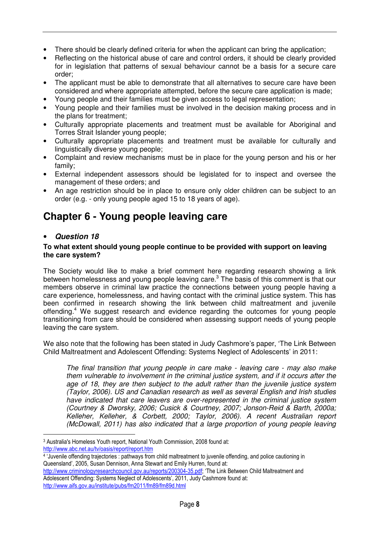- There should be clearly defined criteria for when the applicant can bring the application;
- Reflecting on the historical abuse of care and control orders, it should be clearly provided for in legislation that patterns of sexual behaviour cannot be a basis for a secure care order;
- The applicant must be able to demonstrate that all alternatives to secure care have been considered and where appropriate attempted, before the secure care application is made;
- Young people and their families must be given access to legal representation;
- Young people and their families must be involved in the decision making process and in the plans for treatment;
- Culturally appropriate placements and treatment must be available for Aboriginal and Torres Strait Islander young people;
- Culturally appropriate placements and treatment must be available for culturally and linguistically diverse young people;
- Complaint and review mechanisms must be in place for the young person and his or her family;
- External independent assessors should be legislated for to inspect and oversee the management of these orders; and
- An age restriction should be in place to ensure only older children can be subject to an order (e.g. - only young people aged 15 to 18 years of age).

# **Chapter 6 - Young people leaving care**

# • **Question 18**

 $\overline{a}$ 

#### **To what extent should young people continue to be provided with support on leaving the care system?**

The Society would like to make a brief comment here regarding research showing a link between homelessness and young people leaving care.<sup>3</sup> The basis of this comment is that our members observe in criminal law practice the connections between young people having a care experience, homelessness, and having contact with the criminal justice system. This has been confirmed in research showing the link between child maltreatment and juvenile offending.<sup>4</sup> We suggest research and evidence regarding the outcomes for young people transitioning from care should be considered when assessing support needs of young people leaving the care system.

We also note that the following has been stated in Judy Cashmore's paper, 'The Link Between Child Maltreatment and Adolescent Offending: Systems Neglect of Adolescents' in 2011:

The final transition that young people in care make - leaving care - may also make them vulnerable to involvement in the criminal justice system, and if it occurs after the age of 18, they are then subject to the adult rather than the juvenile justice system (Taylor, 2006). US and Canadian research as well as several English and Irish studies have indicated that care leavers are over-represented in the criminal justice system (Courtney & Dworsky, 2006; Cusick & Courtney, 2007; Jonson-Reid & Barth, 2000a; Kelleher, Kelleher, & Corbett, 2000; Taylor, 2006). A recent Australian report (McDowall, 2011) has also indicated that a large proportion of young people leaving

<sup>3</sup> Australia's Homeless Youth report, National Youth Commission, 2008 found at: http://www.abc.net.au/tv/oasis/report/report.htm

<sup>4</sup> 'Juvenile offending trajectories : pathways from child maltreatment to juvenile offending, and police cautioning in Queensland', 2005, Susan Dennison, Anna Stewart and Emily Hurren, found at:

http://www.criminologyresearchcouncil.gov.au/reports/200304-35.pdf; 'The Link Between Child Maltreatment and Adolescent Offending: Systems Neglect of Adolescents', 2011, Judy Cashmore found at: http://www.aifs.gov.au/institute/pubs/fm2011/fm89/fm89d.html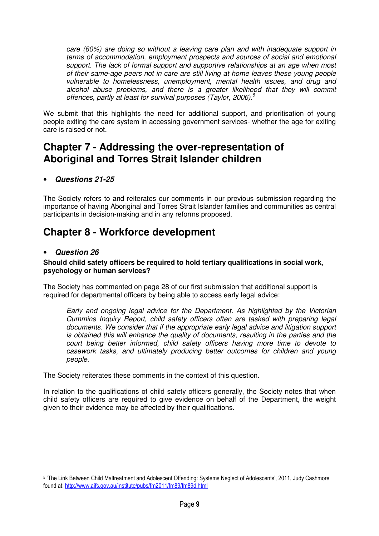care (60%) are doing so without a leaving care plan and with inadequate support in terms of accommodation, employment prospects and sources of social and emotional support. The lack of formal support and supportive relationships at an age when most of their same-age peers not in care are still living at home leaves these young people vulnerable to homelessness, unemployment, mental health issues, and drug and alcohol abuse problems, and there is a greater likelihood that they will commit offences, partly at least for survival purposes (Taylor, 2006).<sup>5</sup>

We submit that this highlights the need for additional support, and prioritisation of young people exiting the care system in accessing government services- whether the age for exiting care is raised or not.

# **Chapter 7 - Addressing the over-representation of Aboriginal and Torres Strait Islander children**

# • **Questions 21-25**

The Society refers to and reiterates our comments in our previous submission regarding the importance of having Aboriginal and Torres Strait Islander families and communities as central participants in decision-making and in any reforms proposed.

# **Chapter 8 - Workforce development**

# • **Question 26**

 $\overline{a}$ 

#### **Should child safety officers be required to hold tertiary qualifications in social work, psychology or human services?**

The Society has commented on page 28 of our first submission that additional support is required for departmental officers by being able to access early legal advice:

Early and ongoing legal advice for the Department. As highlighted by the Victorian Cummins Inquiry Report, child safety officers often are tasked with preparing legal documents. We consider that if the appropriate early legal advice and litigation support is obtained this will enhance the quality of documents, resulting in the parties and the court being better informed, child safety officers having more time to devote to casework tasks, and ultimately producing better outcomes for children and young people.

The Society reiterates these comments in the context of this question.

In relation to the qualifications of child safety officers generally, the Society notes that when child safety officers are required to give evidence on behalf of the Department, the weight given to their evidence may be affected by their qualifications.

<sup>5</sup> 'The Link Between Child Maltreatment and Adolescent Offending: Systems Neglect of Adolescents', 2011, Judy Cashmore found at: http://www.aifs.gov.au/institute/pubs/fm2011/fm89/fm89d.html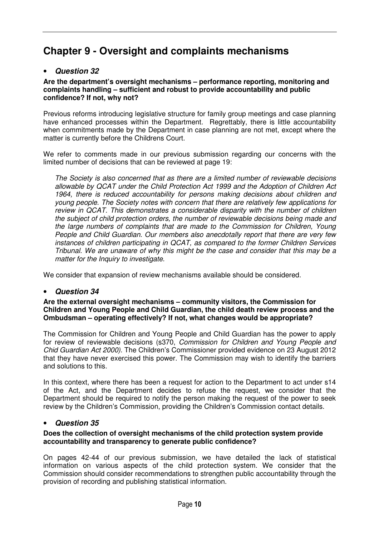# **Chapter 9 - Oversight and complaints mechanisms**

# • **Question 32**

#### **Are the department's oversight mechanisms – performance reporting, monitoring and complaints handling – sufficient and robust to provide accountability and public confidence? If not, why not?**

Previous reforms introducing legislative structure for family group meetings and case planning have enhanced processes within the Department. Regrettably, there is little accountability when commitments made by the Department in case planning are not met, except where the matter is currently before the Childrens Court.

We refer to comments made in our previous submission regarding our concerns with the limited number of decisions that can be reviewed at page 19:

The Society is also concerned that as there are a limited number of reviewable decisions allowable by QCAT under the Child Protection Act 1999 and the Adoption of Children Act 1964, there is reduced accountability for persons making decisions about children and young people. The Society notes with concern that there are relatively few applications for review in QCAT. This demonstrates a considerable disparity with the number of children the subject of child protection orders, the number of reviewable decisions being made and the large numbers of complaints that are made to the Commission for Children, Young People and Child Guardian. Our members also anecdotally report that there are very few instances of children participating in QCAT, as compared to the former Children Services Tribunal. We are unaware of why this might be the case and consider that this may be a matter for the Inquiry to investigate.

We consider that expansion of review mechanisms available should be considered.

# • **Question 34**

#### **Are the external oversight mechanisms – community visitors, the Commission for Children and Young People and Child Guardian, the child death review process and the Ombudsman – operating effectively? If not, what changes would be appropriate?**

The Commission for Children and Young People and Child Guardian has the power to apply for review of reviewable decisions (s370, Commission for Children and Young People and Chid Guardian Act 2000). The Children's Commissioner provided evidence on 23 August 2012 that they have never exercised this power. The Commission may wish to identify the barriers and solutions to this.

In this context, where there has been a request for action to the Department to act under s14 of the Act, and the Department decides to refuse the request, we consider that the Department should be required to notify the person making the request of the power to seek review by the Children's Commission, providing the Children's Commission contact details.

# • **Question 35**

## **Does the collection of oversight mechanisms of the child protection system provide accountability and transparency to generate public confidence?**

On pages 42-44 of our previous submission, we have detailed the lack of statistical information on various aspects of the child protection system. We consider that the Commission should consider recommendations to strengthen public accountability through the provision of recording and publishing statistical information.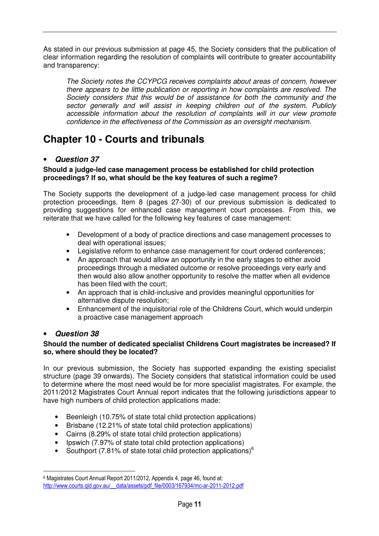As stated in our previous submission at page 45, the Society considers that the publication of clear information regarding the resolution of complaints will contribute to greater accountability and transparency:

The Society notes the CCYPCG receives complaints about areas of concern, however there appears to be little publication or reporting in how complaints are resolved. The Society considers that this would be of assistance for both the community and the sector generally and will assist in keeping children out of the system. Publicly accessible information about the resolution of complaints will in our view promote confidence in the effectiveness of the Commission as an oversight mechanism.

# **Chapter 10 - Courts and tribunals**

# • **Question 37**

## **Should a judge-led case management process be established for child protection proceedings? If so, what should be the key features of such a regime?**

The Society supports the development of a judge-led case management process for child protection proceedings. Item 8 (pages 27-30) of our previous submission is dedicated to providing suggestions for enhanced case management court processes. From this, we reiterate that we have called for the following key features of case management:

- Development of a body of practice directions and case management processes to deal with operational issues;
- Legislative reform to enhance case management for court ordered conferences;
- An approach that would allow an opportunity in the early stages to either avoid proceedings through a mediated outcome or resolve proceedings very early and then would also allow another opportunity to resolve the matter when all evidence has been filed with the court;
- An approach that is child-inclusive and provides meaningful opportunities for alternative dispute resolution;
- Enhancement of the inquisitorial role of the Childrens Court, which would underpin a proactive case management approach

# • **Question 38**

 $\overline{a}$ 

## **Should the number of dedicated specialist Childrens Court magistrates be increased? If so, where should they be located?**

In our previous submission, the Society has supported expanding the existing specialist structure (page 39 onwards). The Society considers that statistical information could be used to determine where the most need would be for more specialist magistrates. For example, the 2011/2012 Magistrates Court Annual report indicates that the following jurisdictions appear to have high numbers of child protection applications made:

- Beenleigh (10.75% of state total child protection applications)
- Brisbane (12.21% of state total child protection applications)
- Cairns (8.29% of state total child protection applications)
- Ipswich (7.97% of state total child protection applications)
- Southport (7.81% of state total child protection applications) $<sup>6</sup>$ </sup>

<sup>6</sup> Magistrates Court Annual Report 2011/2012, Appendix 4, page 46, found at: http://www.courts.gld.gov.au/ data/assets/pdf\_file/0003/167934/mc-ar-2011-2012.pdf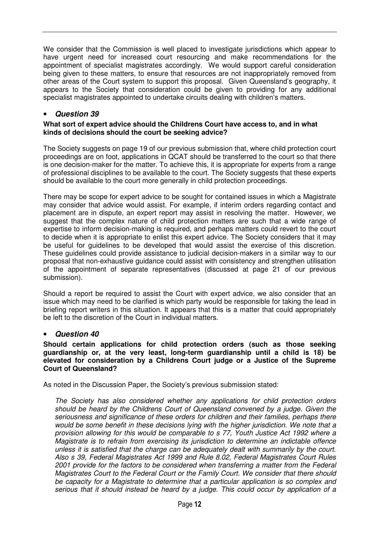We consider that the Commission is well placed to investigate jurisdictions which appear to have urgent need for increased court resourcing and make recommendations for the appointment of specialist magistrates accordingly. We would support careful consideration being given to these matters, to ensure that resources are not inappropriately removed from other areas of the Court system to support this proposal. Given Queensland's geography, it appears to the Society that consideration could be given to providing for any additional specialist magistrates appointed to undertake circuits dealing with children's matters.

# • **Question 39**

#### **What sort of expert advice should the Childrens Court have access to, and in what kinds of decisions should the court be seeking advice?**

The Society suggests on page 19 of our previous submission that, where child protection court proceedings are on foot, applications in QCAT should be transferred to the court so that there is one decision-maker for the matter. To achieve this, it is appropriate for experts from a range of professional disciplines to be available to the court. The Society suggests that these experts should be available to the court more generally in child protection proceedings.

There may be scope for expert advice to be sought for contained issues in which a Magistrate may consider that advice would assist. For example, if interim orders regarding contact and placement are in dispute, an expert report may assist in resolving the matter. However, we suggest that the complex nature of child protection matters are such that a wide range of expertise to inform decision-making is required, and perhaps matters could revert to the court to decide when it is appropriate to enlist this expert advice. The Society considers that it may be useful for guidelines to be developed that would assist the exercise of this discretion. These guidelines could provide assistance to judicial decision-makers in a similar way to our proposal that non-exhaustive guidance could assist with consistency and strengthen utilisation of the appointment of separate representatives (discussed at page 21 of our previous submission).

Should a report be required to assist the Court with expert advice, we also consider that an issue which may need to be clarified is which party would be responsible for taking the lead in briefing report writers in this situation. It appears that this is a matter that could appropriately be left to the discretion of the Court in individual matters.

# • **Question 40**

**Should certain applications for child protection orders (such as those seeking guardianship or, at the very least, long-term guardianship until a child is 18) be elevated for consideration by a Childrens Court judge or a Justice of the Supreme Court of Queensland?** 

As noted in the Discussion Paper, the Society's previous submission stated:

The Society has also considered whether any applications for child protection orders should be heard by the Childrens Court of Queensland convened by a judge. Given the seriousness and significance of these orders for children and their families, perhaps there would be some benefit in these decisions lying with the higher jurisdiction. We note that a provision allowing for this would be comparable to s 77, Youth Justice Act 1992 where a Magistrate is to refrain from exercising its jurisdiction to determine an indictable offence unless it is satisfied that the charge can be adequately dealt with summarily by the court. Also s 39, Federal Magistrates Act 1999 and Rule 8.02, Federal Magistrates Court Rules 2001 provide for the factors to be considered when transferring a matter from the Federal Magistrates Court to the Federal Court or the Family Court. We consider that there should be capacity for a Magistrate to determine that a particular application is so complex and serious that it should instead be heard by a judge. This could occur by application of a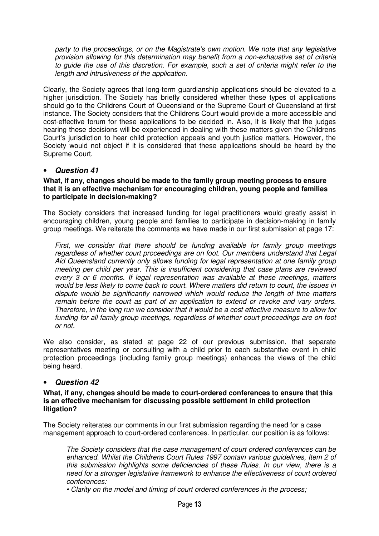party to the proceedings, or on the Magistrate's own motion. We note that any legislative provision allowing for this determination may benefit from a non-exhaustive set of criteria to guide the use of this discretion. For example, such a set of criteria might refer to the length and intrusiveness of the application.

Clearly, the Society agrees that long-term guardianship applications should be elevated to a higher jurisdiction. The Society has briefly considered whether these types of applications should go to the Childrens Court of Queensland or the Supreme Court of Queensland at first instance. The Society considers that the Childrens Court would provide a more accessible and cost-effective forum for these applications to be decided in. Also, it is likely that the judges hearing these decisions will be experienced in dealing with these matters given the Childrens Court's jurisdiction to hear child protection appeals and youth justice matters. However, the Society would not object if it is considered that these applications should be heard by the Supreme Court.

## • **Question 41**

#### **What, if any, changes should be made to the family group meeting process to ensure that it is an effective mechanism for encouraging children, young people and families to participate in decision-making?**

The Society considers that increased funding for legal practitioners would greatly assist in encouraging children, young people and families to participate in decision-making in family group meetings. We reiterate the comments we have made in our first submission at page 17:

First, we consider that there should be funding available for family group meetings regardless of whether court proceedings are on foot. Our members understand that Legal Aid Queensland currently only allows funding for legal representation at one family group meeting per child per year. This is insufficient considering that case plans are reviewed every 3 or 6 months. If legal representation was available at these meetings, matters would be less likely to come back to court. Where matters did return to court, the issues in dispute would be significantly narrowed which would reduce the length of time matters remain before the court as part of an application to extend or revoke and vary orders. Therefore, in the long run we consider that it would be a cost effective measure to allow for funding for all family group meetings, regardless of whether court proceedings are on foot or not.

We also consider, as stated at page 22 of our previous submission, that separate representatives meeting or consulting with a child prior to each substantive event in child protection proceedings (including family group meetings) enhances the views of the child being heard.

#### • **Question 42**

#### **What, if any, changes should be made to court-ordered conferences to ensure that this is an effective mechanism for discussing possible settlement in child protection litigation?**

The Society reiterates our comments in our first submission regarding the need for a case management approach to court-ordered conferences. In particular, our position is as follows:

The Society considers that the case management of court ordered conferences can be enhanced. Whilst the Childrens Court Rules 1997 contain various guidelines, Item 2 of this submission highlights some deficiencies of these Rules. In our view, there is a need for a stronger legislative framework to enhance the effectiveness of court ordered conferences:

• Clarity on the model and timing of court ordered conferences in the process;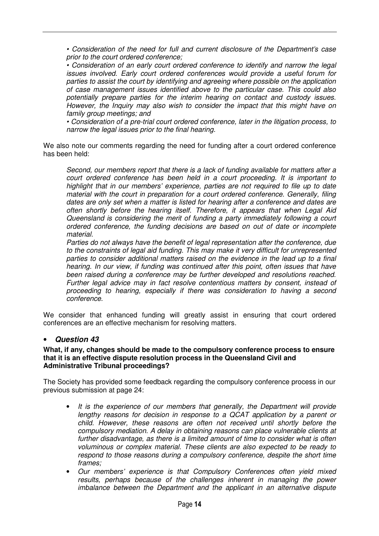• Consideration of the need for full and current disclosure of the Department's case prior to the court ordered conference;

• Consideration of an early court ordered conference to identify and narrow the legal issues involved. Early court ordered conferences would provide a useful forum for parties to assist the court by identifying and agreeing where possible on the application of case management issues identified above to the particular case. This could also potentially prepare parties for the interim hearing on contact and custody issues. However, the Inquiry may also wish to consider the impact that this might have on family group meetings; and

• Consideration of a pre-trial court ordered conference, later in the litigation process, to narrow the legal issues prior to the final hearing.

We also note our comments regarding the need for funding after a court ordered conference has been held:

Second, our members report that there is a lack of funding available for matters after a court ordered conference has been held in a court proceeding. It is important to highlight that in our members' experience, parties are not required to file up to date material with the court in preparation for a court ordered conference. Generally, filing dates are only set when a matter is listed for hearing after a conference and dates are often shortly before the hearing itself. Therefore, it appears that when Legal Aid Queensland is considering the merit of funding a party immediately following a court ordered conference, the funding decisions are based on out of date or incomplete material.

Parties do not always have the benefit of legal representation after the conference, due to the constraints of legal aid funding. This may make it very difficult for unrepresented parties to consider additional matters raised on the evidence in the lead up to a final hearing. In our view, if funding was continued after this point, often issues that have been raised during a conference may be further developed and resolutions reached. Further legal advice may in fact resolve contentious matters by consent, instead of proceeding to hearing, especially if there was consideration to having a second conference.

We consider that enhanced funding will greatly assist in ensuring that court ordered conferences are an effective mechanism for resolving matters.

#### • **Question 43**

#### **What, if any, changes should be made to the compulsory conference process to ensure that it is an effective dispute resolution process in the Queensland Civil and Administrative Tribunal proceedings?**

The Society has provided some feedback regarding the compulsory conference process in our previous submission at page 24:

- It is the experience of our members that generally, the Department will provide lengthy reasons for decision in response to a QCAT application by a parent or child. However, these reasons are often not received until shortly before the compulsory mediation. A delay in obtaining reasons can place vulnerable clients at further disadvantage, as there is a limited amount of time to consider what is often voluminous or complex material. These clients are also expected to be ready to respond to those reasons during a compulsory conference, despite the short time frames;
- Our members' experience is that Compulsory Conferences often yield mixed results, perhaps because of the challenges inherent in managing the power imbalance between the Department and the applicant in an alternative dispute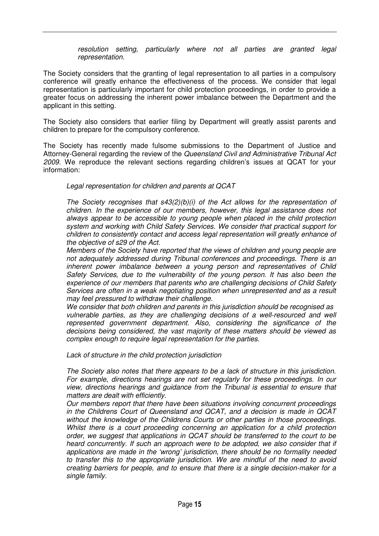resolution setting, particularly where not all parties are granted legal representation.

The Society considers that the granting of legal representation to all parties in a compulsory conference will greatly enhance the effectiveness of the process. We consider that legal representation is particularly important for child protection proceedings, in order to provide a greater focus on addressing the inherent power imbalance between the Department and the applicant in this setting.

The Society also considers that earlier filing by Department will greatly assist parents and children to prepare for the compulsory conference.

The Society has recently made fulsome submissions to the Department of Justice and Attorney-General regarding the review of the Queensland Civil and Administrative Tribunal Act 2009. We reproduce the relevant sections regarding children's issues at QCAT for your information:

Legal representation for children and parents at QCAT

The Society recognises that  $s43(2)(b)(i)$  of the Act allows for the representation of children. In the experience of our members, however, this legal assistance does not always appear to be accessible to young people when placed in the child protection system and working with Child Safety Services. We consider that practical support for children to consistently contact and access legal representation will greatly enhance of the objective of s29 of the Act.

Members of the Society have reported that the views of children and young people are not adequately addressed during Tribunal conferences and proceedings. There is an inherent power imbalance between a young person and representatives of Child Safety Services, due to the vulnerability of the young person. It has also been the experience of our members that parents who are challenging decisions of Child Safety Services are often in a weak negotiating position when unrepresented and as a result may feel pressured to withdraw their challenge.

We consider that both children and parents in this jurisdiction should be recognised as vulnerable parties, as they are challenging decisions of a well-resourced and well represented government department. Also, considering the significance of the decisions being considered, the vast majority of these matters should be viewed as complex enough to require legal representation for the parties.

Lack of structure in the child protection jurisdiction

The Society also notes that there appears to be a lack of structure in this jurisdiction. For example, directions hearings are not set regularly for these proceedings. In our view, directions hearings and guidance from the Tribunal is essential to ensure that matters are dealt with efficiently.

Our members report that there have been situations involving concurrent proceedings in the Childrens Court of Queensland and QCAT, and a decision is made in QCAT without the knowledge of the Childrens Courts or other parties in those proceedings. Whilst there is a court proceeding concerning an application for a child protection order, we suggest that applications in QCAT should be transferred to the court to be heard concurrently. If such an approach were to be adopted, we also consider that if applications are made in the 'wrong' jurisdiction, there should be no formality needed to transfer this to the appropriate jurisdiction. We are mindful of the need to avoid creating barriers for people, and to ensure that there is a single decision-maker for a single family.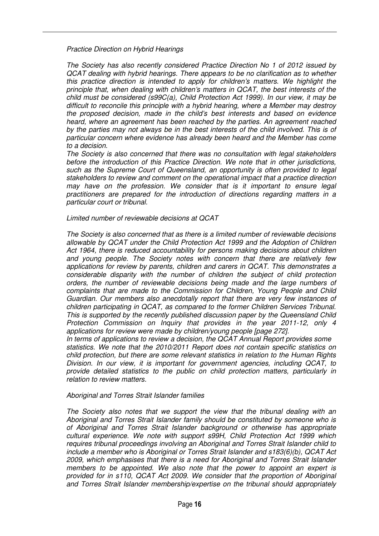Practice Direction on Hybrid Hearings

The Society has also recently considered Practice Direction No 1 of 2012 issued by QCAT dealing with hybrid hearings. There appears to be no clarification as to whether this practice direction is intended to apply for children's matters. We highlight the principle that, when dealing with children's matters in QCAT, the best interests of the child must be considered (s99C(a), Child Protection Act 1999). In our view, it may be difficult to reconcile this principle with a hybrid hearing, where a Member may destroy the proposed decision, made in the child's best interests and based on evidence heard, where an agreement has been reached by the parties. An agreement reached by the parties may not always be in the best interests of the child involved. This is of particular concern where evidence has already been heard and the Member has come to a decision.

The Society is also concerned that there was no consultation with legal stakeholders before the introduction of this Practice Direction. We note that in other jurisdictions, such as the Supreme Court of Queensland, an opportunity is often provided to legal stakeholders to review and comment on the operational impact that a practice direction may have on the profession. We consider that is it important to ensure legal practitioners are prepared for the introduction of directions regarding matters in a particular court or tribunal.

#### Limited number of reviewable decisions at QCAT

The Society is also concerned that as there is a limited number of reviewable decisions allowable by QCAT under the Child Protection Act 1999 and the Adoption of Children Act 1964, there is reduced accountability for persons making decisions about children and young people. The Society notes with concern that there are relatively few applications for review by parents, children and carers in QCAT. This demonstrates a considerable disparity with the number of children the subject of child protection orders, the number of reviewable decisions being made and the large numbers of complaints that are made to the Commission for Children, Young People and Child Guardian. Our members also anecdotally report that there are very few instances of children participating in QCAT, as compared to the former Children Services Tribunal. This is supported by the recently published discussion paper by the Queensland Child Protection Commission on Inquiry that provides in the year 2011-12, only 4 applications for review were made by children/young people [page 272].

In terms of applications to review a decision, the QCAT Annual Report provides some statistics. We note that the 2010/2011 Report does not contain specific statistics on child protection, but there are some relevant statistics in relation to the Human Rights Division. In our view, it is important for government agencies, including QCAT, to provide detailed statistics to the public on child protection matters, particularly in relation to review matters.

#### Aboriginal and Torres Strait Islander families

The Society also notes that we support the view that the tribunal dealing with an Aboriginal and Torres Strait Islander family should be constituted by someone who is of Aboriginal and Torres Strait Islander background or otherwise has appropriate cultural experience. We note with support s99H, Child Protection Act 1999 which requires tribunal proceedings involving an Aboriginal and Torres Strait Islander child to include a member who is Aboriginal or Torres Strait Islander and s183(6)(b), QCAT Act 2009, which emphasises that there is a need for Aboriginal and Torres Strait Islander members to be appointed. We also note that the power to appoint an expert is provided for in s110, QCAT Act 2009. We consider that the proportion of Aboriginal and Torres Strait Islander membership/expertise on the tribunal should appropriately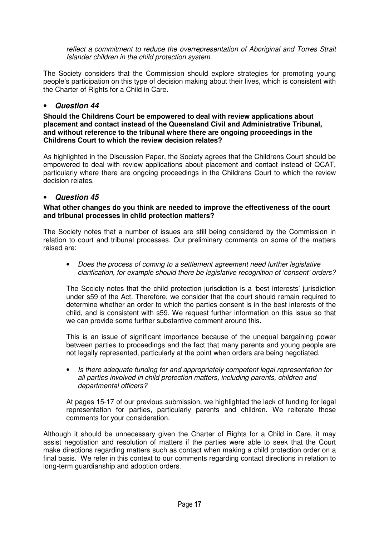reflect a commitment to reduce the overrepresentation of Aboriginal and Torres Strait Islander children in the child protection system.

The Society considers that the Commission should explore strategies for promoting young people's participation on this type of decision making about their lives, which is consistent with the Charter of Rights for a Child in Care.

# • **Question 44**

**Should the Childrens Court be empowered to deal with review applications about placement and contact instead of the Queensland Civil and Administrative Tribunal, and without reference to the tribunal where there are ongoing proceedings in the Childrens Court to which the review decision relates?** 

As highlighted in the Discussion Paper, the Society agrees that the Childrens Court should be empowered to deal with review applications about placement and contact instead of QCAT, particularly where there are ongoing proceedings in the Childrens Court to which the review decision relates.

# • **Question 45**

## **What other changes do you think are needed to improve the effectiveness of the court and tribunal processes in child protection matters?**

The Society notes that a number of issues are still being considered by the Commission in relation to court and tribunal processes. Our preliminary comments on some of the matters raised are:

• Does the process of coming to a settlement agreement need further legislative clarification, for example should there be legislative recognition of 'consent' orders?

The Society notes that the child protection jurisdiction is a 'best interests' jurisdiction under s59 of the Act. Therefore, we consider that the court should remain required to determine whether an order to which the parties consent is in the best interests of the child, and is consistent with s59. We request further information on this issue so that we can provide some further substantive comment around this.

This is an issue of significant importance because of the unequal bargaining power between parties to proceedings and the fact that many parents and young people are not legally represented, particularly at the point when orders are being negotiated.

• Is there adequate funding for and appropriately competent legal representation for all parties involved in child protection matters, including parents, children and departmental officers?

At pages 15-17 of our previous submission, we highlighted the lack of funding for legal representation for parties, particularly parents and children. We reiterate those comments for your consideration.

Although it should be unnecessary given the Charter of Rights for a Child in Care, it may assist negotiation and resolution of matters if the parties were able to seek that the Court make directions regarding matters such as contact when making a child protection order on a final basis. We refer in this context to our comments regarding contact directions in relation to long-term guardianship and adoption orders.